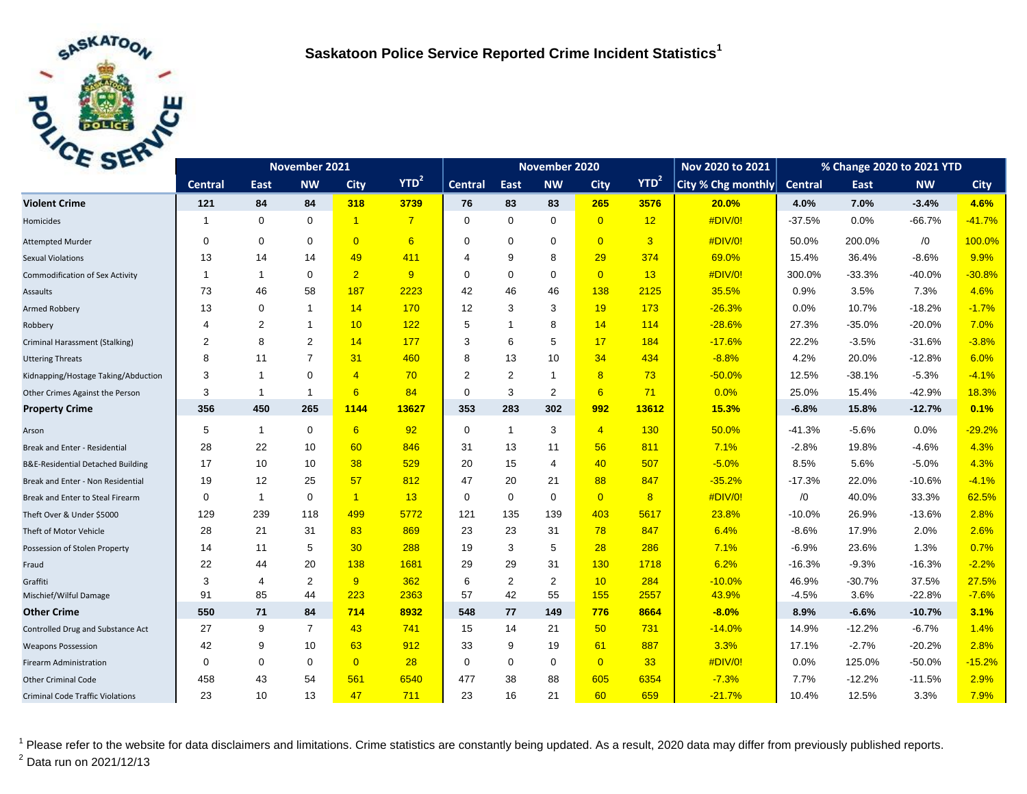

| C <sub>2F</sub>                              | November 2021  |                |                |                |                | November 2020  |                |                |                | Nov 2020 to 2021 | % Change 2020 to 2021 YTD |                |          |            |             |
|----------------------------------------------|----------------|----------------|----------------|----------------|----------------|----------------|----------------|----------------|----------------|------------------|---------------------------|----------------|----------|------------|-------------|
|                                              | <b>Central</b> | East           | <b>NW</b>      | <b>City</b>    | $YTD^2$        | <b>Central</b> | East           | <b>NW</b>      | <b>City</b>    | YTD <sup>2</sup> | City % Chg monthly        | <b>Central</b> | East     | <b>NW</b>  | <b>City</b> |
| <b>Violent Crime</b>                         | 121            | 84             | 84             | 318            | 3739           | 76             | 83             | 83             | 265            | 3576             | 20.0%                     | 4.0%           | 7.0%     | $-3.4%$    | 4.6%        |
| Homicides                                    | 1              | $\mathbf 0$    | $\mathbf 0$    | $\overline{1}$ | $\overline{7}$ | $\Omega$       | $\mathbf 0$    | $\mathbf 0$    | $\overline{0}$ | 12               | #DIV/0!                   | $-37.5%$       | 0.0%     | $-66.7%$   | $-41.7%$    |
| <b>Attempted Murder</b>                      | $\Omega$       | $\mathbf 0$    | $\mathbf 0$    | $\overline{0}$ | 6              | $\Omega$       | $\mathbf 0$    | $\mathbf 0$    | $\overline{0}$ | $\overline{3}$   | #DIV/0!                   | 50.0%          | 200.0%   | $\sqrt{0}$ | 100.0%      |
| <b>Sexual Violations</b>                     | 13             | 14             | 14             | 49             | 411            | 4              | 9              | 8              | 29             | 374              | 69.0%                     | 15.4%          | 36.4%    | $-8.6%$    | 9.9%        |
| <b>Commodification of Sex Activity</b>       | 1              | $\mathbf{1}$   | $\Omega$       | $\overline{2}$ | 9              | $\Omega$       | $\Omega$       | $\mathbf 0$    | $\overline{0}$ | 13               | #DIV/0!                   | 300.0%         | $-33.3%$ | $-40.0%$   | $-30.8%$    |
| Assaults                                     | 73             | 46             | 58             | 187            | 2223           | 42             | 46             | 46             | 138            | 2125             | 35.5%                     | 0.9%           | 3.5%     | 7.3%       | 4.6%        |
| Armed Robbery                                | 13             | $\mathbf 0$    | -1             | 14             | 170            | 12             | 3              | 3              | 19             | 173              | $-26.3%$                  | 0.0%           | 10.7%    | $-18.2%$   | $-1.7%$     |
| Robbery                                      | 4              | 2              | $\mathbf{1}$   | 10             | 122            | 5              | $\overline{1}$ | 8              | 14             | 114              | $-28.6%$                  | 27.3%          | $-35.0%$ | $-20.0%$   | 7.0%        |
| Criminal Harassment (Stalking)               | 2              | 8              | $\overline{2}$ | 14             | 177            | 3              | 6              | 5              | 17             | 184              | $-17.6%$                  | 22.2%          | $-3.5%$  | $-31.6%$   | $-3.8%$     |
| <b>Uttering Threats</b>                      | 8              | 11             | $\overline{7}$ | 31             | 460            | 8              | 13             | 10             | 34             | 434              | $-8.8%$                   | 4.2%           | 20.0%    | $-12.8%$   | 6.0%        |
| Kidnapping/Hostage Taking/Abduction          | 3              | $\mathbf{1}$   | $\mathbf 0$    | $\overline{4}$ | 70             | 2              | 2              | $\mathbf{1}$   | 8              | 73               | $-50.0%$                  | 12.5%          | $-38.1%$ | $-5.3%$    | $-4.1%$     |
| Other Crimes Against the Person              | 3              | $\mathbf{1}$   | -1             | 6              | 84             | 0              | 3              | 2              | 6              | 71               | 0.0%                      | 25.0%          | 15.4%    | $-42.9%$   | 18.3%       |
| <b>Property Crime</b>                        | 356            | 450            | 265            | 1144           | 13627          | 353            | 283            | 302            | 992            | 13612            | 15.3%                     | $-6.8%$        | 15.8%    | $-12.7%$   | 0.1%        |
| Arson                                        | 5              | $\mathbf{1}$   | $\mathbf 0$    | 6              | 92             | $\mathbf 0$    | $\mathbf{1}$   | 3              | $\overline{4}$ | 130              | 50.0%                     | -41.3%         | $-5.6%$  | 0.0%       | $-29.2%$    |
| Break and Enter - Residential                | 28             | 22             | 10             | 60             | 846            | 31             | 13             | 11             | 56             | 811              | 7.1%                      | $-2.8%$        | 19.8%    | $-4.6%$    | 4.3%        |
| <b>B&amp;E-Residential Detached Building</b> | 17             | 10             | 10             | 38             | 529            | 20             | 15             | $\overline{4}$ | 40             | 507              | $-5.0%$                   | 8.5%           | 5.6%     | $-5.0%$    | 4.3%        |
| Break and Enter - Non Residential            | 19             | 12             | 25             | 57             | 812            | 47             | 20             | 21             | 88             | 847              | $-35.2%$                  | $-17.3%$       | 22.0%    | $-10.6%$   | $-4.1%$     |
| Break and Enter to Steal Firearm             | 0              | $\mathbf{1}$   | $\mathbf 0$    | $\overline{1}$ | 13             | 0              | $\mathbf 0$    | $\mathbf 0$    | $\overline{0}$ | 8                | #DIV/0!                   | /0             | 40.0%    | 33.3%      | 62.5%       |
| Theft Over & Under \$5000                    | 129            | 239            | 118            | 499            | 5772           | 121            | 135            | 139            | 403            | 5617             | 23.8%                     | $-10.0%$       | 26.9%    | $-13.6%$   | 2.8%        |
| Theft of Motor Vehicle                       | 28             | 21             | 31             | 83             | 869            | 23             | 23             | 31             | 78             | 847              | 6.4%                      | $-8.6%$        | 17.9%    | 2.0%       | 2.6%        |
| Possession of Stolen Property                | 14             | 11             | 5              | 30             | 288            | 19             | 3              | 5              | 28             | 286              | 7.1%                      | $-6.9%$        | 23.6%    | 1.3%       | 0.7%        |
| Fraud                                        | 22             | 44             | 20             | 138            | 1681           | 29             | 29             | 31             | 130            | 1718             | 6.2%                      | $-16.3%$       | $-9.3%$  | $-16.3%$   | $-2.2%$     |
| Graffiti                                     | 3              | $\overline{4}$ | $\overline{2}$ | 9              | 362            | 6              | 2              | $\overline{2}$ | 10             | 284              | $-10.0%$                  | 46.9%          | $-30.7%$ | 37.5%      | 27.5%       |
| Mischief/Wilful Damage                       | 91             | 85             | 44             | 223            | 2363           | 57             | 42             | 55             | 155            | 2557             | 43.9%                     | $-4.5%$        | 3.6%     | $-22.8%$   | $-7.6%$     |
| <b>Other Crime</b>                           | 550            | 71             | 84             | 714            | 8932           | 548            | 77             | 149            | 776            | 8664             | $-8.0%$                   | 8.9%           | $-6.6%$  | $-10.7%$   | 3.1%        |
| Controlled Drug and Substance Act            | 27             | 9              | $\overline{7}$ | 43             | 741            | 15             | 14             | 21             | 50             | 731              | $-14.0%$                  | 14.9%          | $-12.2%$ | $-6.7%$    | 1.4%        |
| <b>Weapons Possession</b>                    | 42             | 9              | 10             | 63             | 912            | 33             | 9              | 19             | 61             | 887              | 3.3%                      | 17.1%          | $-2.7%$  | $-20.2%$   | 2.8%        |
| <b>Firearm Administration</b>                | 0              | $\mathbf 0$    | $\mathbf 0$    | $\overline{0}$ | 28             | $\Omega$       | $\mathbf 0$    | $\mathbf 0$    | $\overline{0}$ | 33               | #DIV/0!                   | 0.0%           | 125.0%   | $-50.0%$   | $-15.2%$    |
| <b>Other Criminal Code</b>                   | 458            | 43             | 54             | 561            | 6540           | 477            | 38             | 88             | 605            | 6354             | $-7.3%$                   | 7.7%           | $-12.2%$ | $-11.5%$   | 2.9%        |
| <b>Criminal Code Traffic Violations</b>      | 23             | 10             | 13             | 47             | 711            | 23             | 16             | 21             | 60             | 659              | $-21.7%$                  | 10.4%          | 12.5%    | 3.3%       | 7.9%        |

<sup>1</sup> Please refer to the website for data disclaimers and limitations. Crime statistics are constantly being updated. As a result, 2020 data may differ from previously published reports.  $^{2}$  Data run on 2021/12/13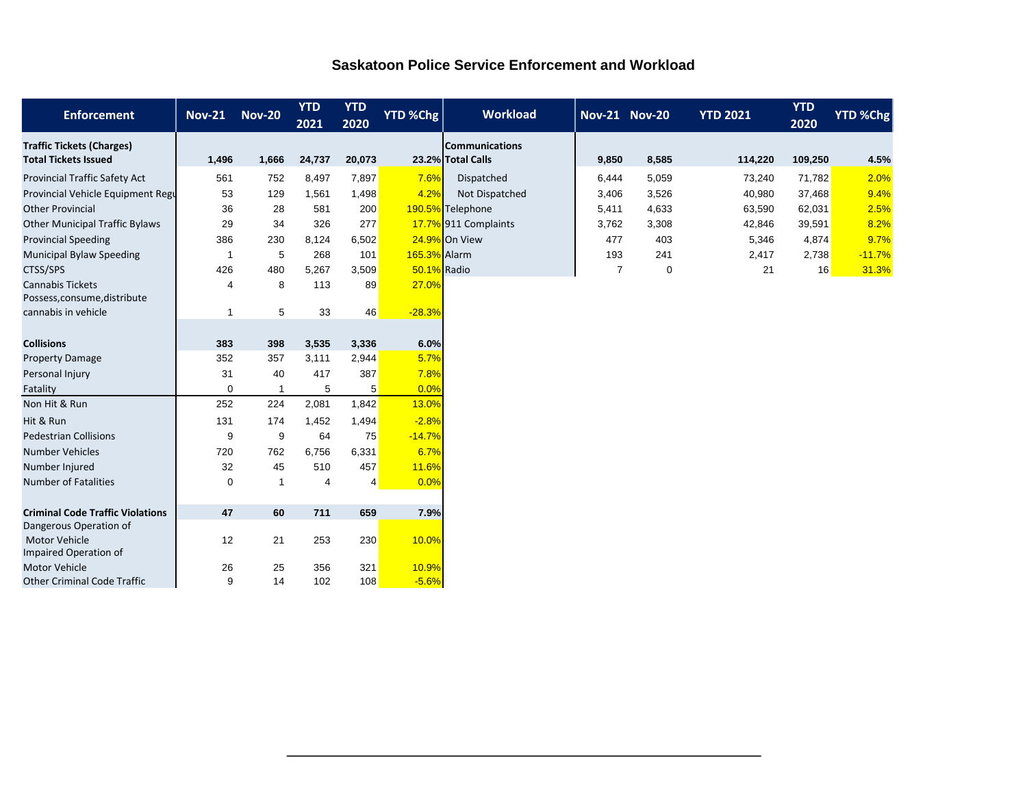|  |  | <b>Saskatoon Police Service Enforcement and Workload</b> |  |
|--|--|----------------------------------------------------------|--|
|  |  |                                                          |  |

| <b>Enforcement</b>                                                | <b>Nov-21</b>         | <b>Nov-20</b> | <b>YTD</b><br>2021 | <b>YTD</b><br>2020 | <b>YTD %Chg</b> | <b>Workload</b>                            | <b>Nov-21 Nov-20</b> |       | <b>YTD 2021</b> | <b>YTD</b><br>2020 | <b>YTD %Chg</b> |
|-------------------------------------------------------------------|-----------------------|---------------|--------------------|--------------------|-----------------|--------------------------------------------|----------------------|-------|-----------------|--------------------|-----------------|
| <b>Traffic Tickets (Charges)</b><br><b>Total Tickets Issued</b>   | 1,496                 | 1,666         | 24,737             | 20,073             |                 | <b>Communications</b><br>23.2% Total Calls | 9,850                | 8,585 | 114,220         | 109,250            | 4.5%            |
| <b>Provincial Traffic Safety Act</b>                              | 561                   | 752           | 8,497              | 7,897              | 7.6%            | Dispatched                                 | 6,444                | 5,059 | 73,240          | 71,782             | 2.0%            |
| Provincial Vehicle Equipment Regu                                 | 53                    | 129           | 1,561              | 1,498              | 4.2%            | Not Dispatched                             | 3,406                | 3,526 | 40,980          | 37,468             | 9.4%            |
| <b>Other Provincial</b>                                           | 36                    | 28            | 581                | 200                |                 | 190.5% Telephone                           | 5,411                | 4,633 | 63,590          | 62,031             | 2.5%            |
| <b>Other Municipal Traffic Bylaws</b>                             | 29                    | 34            | 326                | 277                |                 | 17.7% 911 Complaints                       | 3,762                | 3,308 | 42,846          | 39,591             | 8.2%            |
| <b>Provincial Speeding</b>                                        | 386                   | 230           | 8.124              | 6,502              |                 | 24.9% On View                              | 477                  | 403   | 5,346           | 4,874              | 9.7%            |
| <b>Municipal Bylaw Speeding</b>                                   | -1                    | 5             | 268                | 101                | 165.3% Alarm    |                                            | 193                  | 241   | 2,417           | 2,738              | $-11.7%$        |
| CTSS/SPS                                                          | 426                   | 480           | 5,267              | 3,509              | 50.1% Radio     |                                            | $\overline{7}$       | 0     | 21              | 16                 | 31.3%           |
| <b>Cannabis Tickets</b><br>Possess, consume, distribute           | $\boldsymbol{\Delta}$ | 8             | 113                | 89                 | 27.0%           |                                            |                      |       |                 |                    |                 |
| cannabis in vehicle                                               | -1                    | 5             | 33                 | 46                 | $-28.3%$        |                                            |                      |       |                 |                    |                 |
|                                                                   |                       |               |                    |                    |                 |                                            |                      |       |                 |                    |                 |
| <b>Collisions</b>                                                 | 383                   | 398           | 3,535              | 3,336              | 6.0%            |                                            |                      |       |                 |                    |                 |
| <b>Property Damage</b>                                            | 352                   | 357           | 3,111              | 2,944              | 5.7%            |                                            |                      |       |                 |                    |                 |
| Personal Injury                                                   | 31                    | 40            | 417                | 387                | 7.8%            |                                            |                      |       |                 |                    |                 |
| Fatality                                                          | $\mathbf 0$           | 1             | 5                  | 5                  | 0.0%            |                                            |                      |       |                 |                    |                 |
| Non Hit & Run                                                     | 252                   | 224           | 2,081              | 1,842              | 13.0%           |                                            |                      |       |                 |                    |                 |
| Hit & Run                                                         | 131                   | 174           | 1,452              | 1,494              | $-2.8%$         |                                            |                      |       |                 |                    |                 |
| <b>Pedestrian Collisions</b>                                      | 9                     | 9             | 64                 | 75                 | $-14.7%$        |                                            |                      |       |                 |                    |                 |
| <b>Number Vehicles</b>                                            | 720                   | 762           | 6,756              | 6,331              | 6.7%            |                                            |                      |       |                 |                    |                 |
| Number Injured                                                    | 32                    | 45            | 510                | 457                | 11.6%           |                                            |                      |       |                 |                    |                 |
| <b>Number of Fatalities</b>                                       | $\mathbf 0$           | $\mathbf{1}$  | $\overline{4}$     | $\overline{4}$     | 0.0%            |                                            |                      |       |                 |                    |                 |
|                                                                   |                       |               |                    |                    |                 |                                            |                      |       |                 |                    |                 |
| <b>Criminal Code Traffic Violations</b><br>Dangerous Operation of | 47                    | 60            | 711                | 659                | 7.9%            |                                            |                      |       |                 |                    |                 |
| Motor Vehicle<br>Impaired Operation of                            | 12                    | 21            | 253                | 230                | 10.0%           |                                            |                      |       |                 |                    |                 |
| <b>Motor Vehicle</b>                                              | 26                    | 25            | 356                | 321                | 10.9%           |                                            |                      |       |                 |                    |                 |
| <b>Other Criminal Code Traffic</b>                                | 9                     | 14            | 102                | 108                | $-5.6%$         |                                            |                      |       |                 |                    |                 |